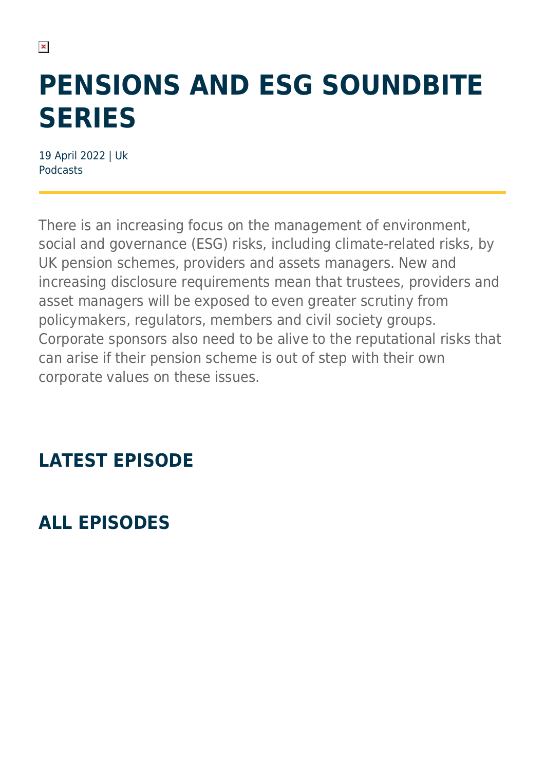# **PENSIONS AND ESG SOUNDBITE SERIES**

19 April 2022 | Uk Podcasts

 $\pmb{\times}$ 

There is an increasing focus on the management of environment, social and governance (ESG) risks, including climate-related risks, by UK pension schemes, providers and assets managers. New and increasing disclosure requirements mean that trustees, providers and asset managers will be exposed to even greater scrutiny from policymakers, regulators, members and civil society groups. Corporate sponsors also need to be alive to the reputational risks that can arise if their pension scheme is out of step with their own corporate values on these issues.

### **LATEST EPISODE**

### **ALL EPISODES**